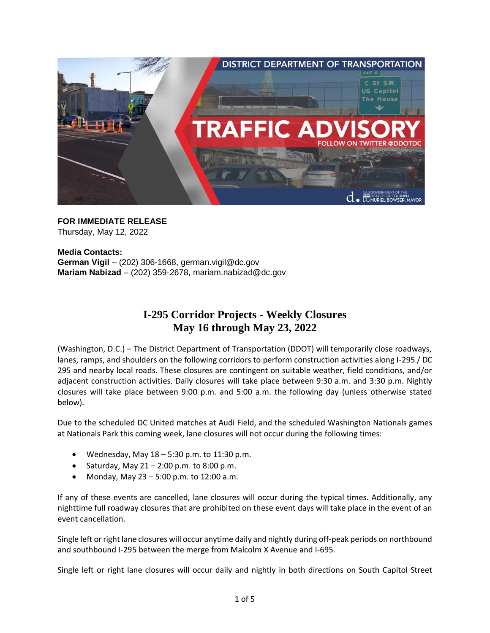

**FOR IMMEDIATE RELEASE** Thursday, May 12, 2022

**Media Contacts: German Vigil** – (202) 306-1668, [german.vigil@dc.gov](mailto:german.vigil@dc.gov) **Mariam Nabizad** – (202) 359-2678, [mariam.nabizad@dc.gov](mailto:mariam.nabizad@dc.gov)

## **I-295 Corridor Projects - Weekly Closures May 16 through May 23, 2022**

(Washington, D.C.) – The District Department of Transportation (DDOT) will temporarily close roadways, lanes, ramps, and shoulders on the following corridors to perform construction activities along I-295 / DC 295 and nearby local roads. These closures are contingent on suitable weather, field conditions, and/or adjacent construction activities. Daily closures will take place between 9:30 a.m. and 3:30 p.m. Nightly closures will take place between 9:00 p.m. and 5:00 a.m. the following day (unless otherwise stated below).

Due to the scheduled DC United matches at Audi Field, and the scheduled Washington Nationals games at Nationals Park this coming week, lane closures will not occur during the following times:

- Wednesday, May  $18 5:30$  p.m. to  $11:30$  p.m.
- Saturday, May  $21 2:00$  p.m. to 8:00 p.m.
- Monday, May 23 5:00 p.m. to 12:00 a.m.

If any of these events are cancelled, lane closures will occur during the typical times. Additionally, any nighttime full roadway closures that are prohibited on these event days will take place in the event of an event cancellation.

Single left or right lane closures will occur anytime daily and nightly during off-peak periods on northbound and southbound I-295 between the merge from Malcolm X Avenue and I-695.

Single left or right lane closures will occur daily and nightly in both directions on South Capitol Street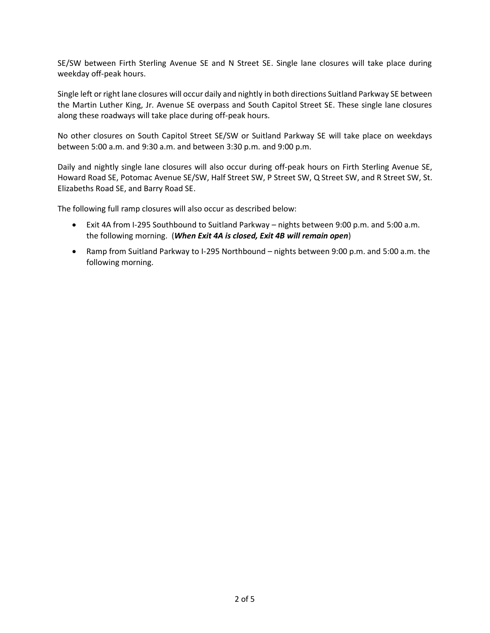SE/SW between Firth Sterling Avenue SE and N Street SE. Single lane closures will take place during weekday off-peak hours.

Single left or right lane closures will occur daily and nightly in both directions Suitland Parkway SE between the Martin Luther King, Jr. Avenue SE overpass and South Capitol Street SE. These single lane closures along these roadways will take place during off-peak hours.

No other closures on South Capitol Street SE/SW or Suitland Parkway SE will take place on weekdays between 5:00 a.m. and 9:30 a.m. and between 3:30 p.m. and 9:00 p.m.

Daily and nightly single lane closures will also occur during off-peak hours on Firth Sterling Avenue SE, Howard Road SE, Potomac Avenue SE/SW, Half Street SW, P Street SW, Q Street SW, and R Street SW, St. Elizabeths Road SE, and Barry Road SE.

The following full ramp closures will also occur as described below:

- Exit 4A from I-295 Southbound to Suitland Parkway nights between 9:00 p.m. and 5:00 a.m. the following morning. (*When Exit 4A is closed, Exit 4B will remain open*)
- Ramp from Suitland Parkway to I-295 Northbound nights between 9:00 p.m. and 5:00 a.m. the following morning.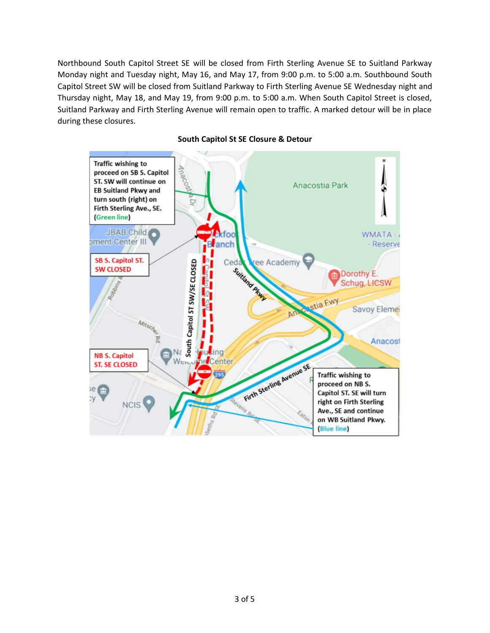Northbound South Capitol Street SE will be closed from Firth Sterling Avenue SE to Suitland Parkway Monday night and Tuesday night, May 16, and May 17, from 9:00 p.m. to 5:00 a.m. Southbound South Capitol Street SW will be closed from Suitland Parkway to Firth Sterling Avenue SE Wednesday night and Thursday night, May 18, and May 19, from 9:00 p.m. to 5:00 a.m. When South Capitol Street is closed, Suitland Parkway and Firth Sterling Avenue will remain open to traffic. A marked detour will be in place during these closures.



## **South Capitol St SE Closure & Detour**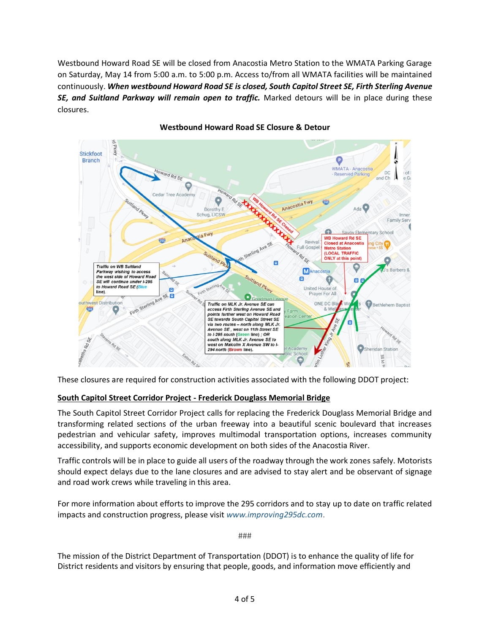Westbound Howard Road SE will be closed from Anacostia Metro Station to the WMATA Parking Garage on Saturday, May 14 from 5:00 a.m. to 5:00 p.m. Access to/from all WMATA facilities will be maintained continuously. *When westbound Howard Road SE is closed, South Capitol Street SE, Firth Sterling Avenue SE, and Suitland Parkway will remain open to traffic.* Marked detours will be in place during these closures.



## **Westbound Howard Road SE Closure & Detour**

These closures are required for construction activities associated with the following DDOT project:

## **South Capitol Street Corridor Project - Frederick Douglass Memorial Bridge**

The South Capitol Street Corridor Project calls for replacing the Frederick Douglass Memorial Bridge and transforming related sections of the urban freeway into a beautiful scenic boulevard that increases pedestrian and vehicular safety, improves multimodal transportation options, increases community accessibility, and supports economic development on both sides of the Anacostia River.

Traffic controls will be in place to guide all users of the roadway through the work zones safely. Motorists should expect delays due to the lane closures and are advised to stay alert and be observant of signage and road work crews while traveling in this area.

For more information about efforts to improve the 295 corridors and to stay up to date on traffic related impacts and construction progress, please visit *[www.improving295dc.com](https://www.improving295dc.com/)*.

###

The mission of the District Department of Transportation (DDOT) is to enhance the quality of life for District residents and visitors by ensuring that people, goods, and information move efficiently and